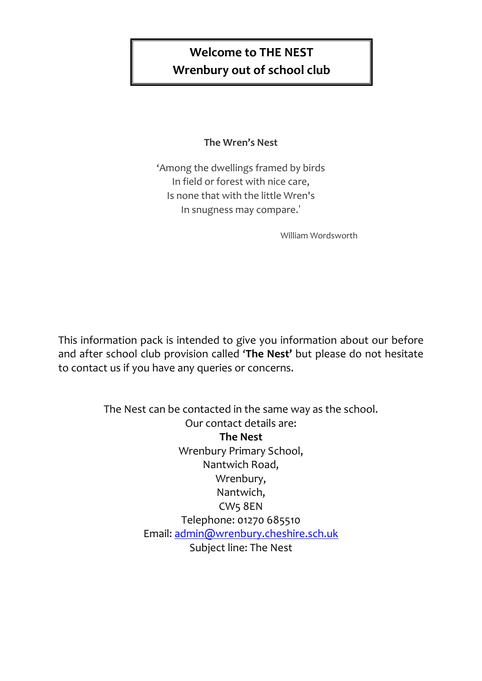# **Welcome to THE NEST Wrenbury out of school club**

# **The Wren's Nest**

'Among the dwellings framed by birds In field or forest with nice care, Is none that with the little Wren's In snugness may compare.'

William Wordsworth

This information pack is intended to give you information about our before and after school club provision called '**The Nest'** but please do not hesitate to contact us if you have any queries or concerns.

> The Nest can be contacted in the same way as the school. Our contact details are: **The Nest** Wrenbury Primary School, Nantwich Road, Wrenbury, Nantwich, CW5 8EN Telephone: 01270 685510 Email: [admin@wrenbury.cheshire.sch.uk](mailto:admin@wrenbury.cheshire.sch.uk) Subject line: The Nest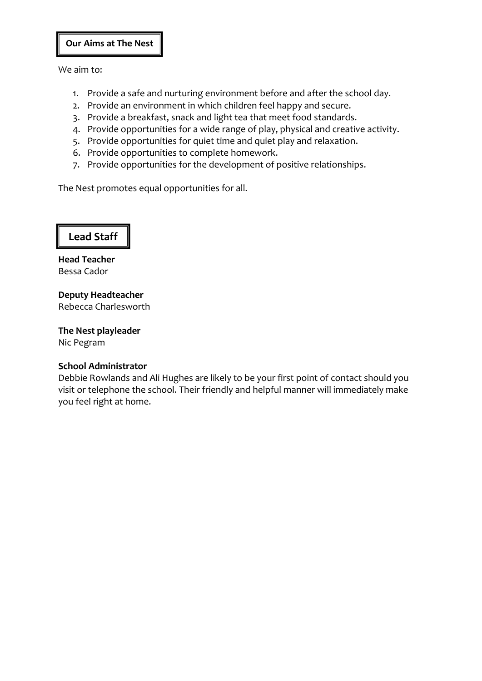#### **Our Aims at The Nest**

We aim to:

- 1. Provide a safe and nurturing environment before and after the school day.
- 2. Provide an environment in which children feel happy and secure.
- 3. Provide a breakfast, snack and light tea that meet food standards.
- 4. Provide opportunities for a wide range of play, physical and creative activity.
- 5. Provide opportunities for quiet time and quiet play and relaxation.
- 6. Provide opportunities to complete homework.
- 7. Provide opportunities for the development of positive relationships.

The Nest promotes equal opportunities for all.



**Head Teacher**  Bessa Cador

**Deputy Headteacher** Rebecca Charlesworth

**The Nest playleader** Nic Pegram

#### **School Administrator**

Debbie Rowlands and Ali Hughes are likely to be your first point of contact should you visit or telephone the school. Their friendly and helpful manner will immediately make you feel right at home.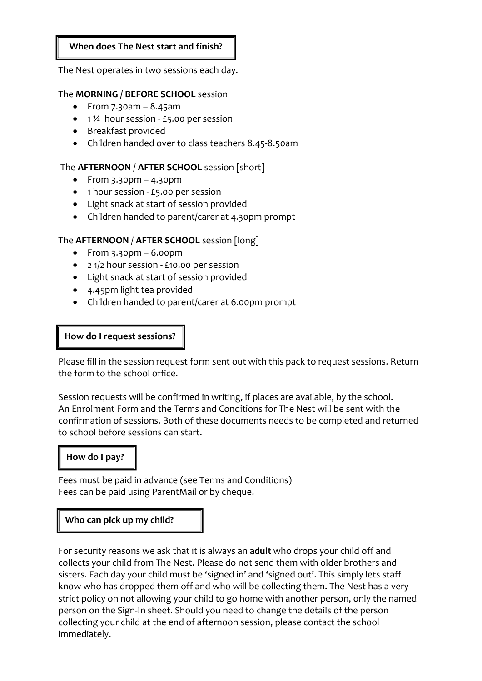#### **When does The Nest start and finish?**

The Nest operates in two sessions each day.

#### The **MORNING / BEFORE SCHOOL** session

- From  $7.30$ am  $8.45$ am
- $\bullet$  1 ¼ hour session £5.00 per session
- Breakfast provided
- Children handed over to class teachers 8.45-8.50am

#### The **AFTERNOON** / **AFTER SCHOOL** session [short]

- $\bullet$  From 3.30pm 4.30pm
- $\bullet$  1 hour session £5.00 per session
- Light snack at start of session provided
- Children handed to parent/carer at 4.30pm prompt

#### The **AFTERNOON** / **AFTER SCHOOL** session [long]

- $\bullet$  From 3.30pm 6.00pm
- 2 1/2 hour session £10.00 per session
- Light snack at start of session provided
- 4.45pm light tea provided
- Children handed to parent/carer at 6.00pm prompt

#### **How do I request sessions?**

Please fill in the session request form sent out with this pack to request sessions. Return the form to the school office.

Session requests will be confirmed in writing, if places are available, by the school. An Enrolment Form and the Terms and Conditions for The Nest will be sent with the confirmation of sessions. Both of these documents needs to be completed and returned to school before sessions can start.

#### **How do I pay?**

Fees must be paid in advance (see Terms and Conditions) Fees can be paid using ParentMail or by cheque.

#### **Who can pick up my child?**

For security reasons we ask that it is always an **adult** who drops your child off and collects your child from The Nest. Please do not send them with older brothers and sisters. Each day your child must be 'signed in' and 'signed out'. This simply lets staff know who has dropped them off and who will be collecting them. The Nest has a very strict policy on not allowing your child to go home with another person, only the named person on the Sign-In sheet. Should you need to change the details of the person collecting your child at the end of afternoon session, please contact the school immediately.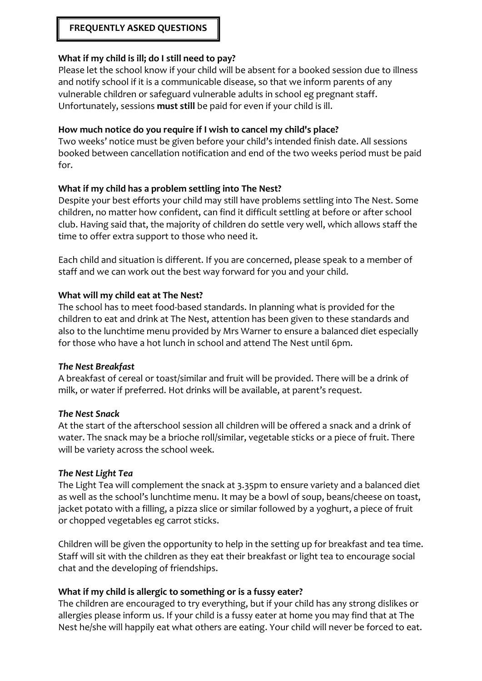# **FREQUENTLY ASKED QUESTIONS**

#### **What if my child is ill; do I still need to pay?**

Please let the school know if your child will be absent for a booked session due to illness and notify school if it is a communicable disease, so that we inform parents of any vulnerable children or safeguard vulnerable adults in school eg pregnant staff. Unfortunately, sessions **must still** be paid for even if your child is ill.

#### **How much notice do you require if I wish to cancel my child's place?**

Two weeks' notice must be given before your child's intended finish date. All sessions booked between cancellation notification and end of the two weeks period must be paid for.

#### **What if my child has a problem settling into The Nest?**

Despite your best efforts your child may still have problems settling into The Nest. Some children, no matter how confident, can find it difficult settling at before or after school club. Having said that, the majority of children do settle very well, which allows staff the time to offer extra support to those who need it.

Each child and situation is different. If you are concerned, please speak to a member of staff and we can work out the best way forward for you and your child.

#### **What will my child eat at The Nest?**

The school has to meet food-based standards. In planning what is provided for the children to eat and drink at The Nest, attention has been given to these standards and also to the lunchtime menu provided by Mrs Warner to ensure a balanced diet especially for those who have a hot lunch in school and attend The Nest until 6pm.

#### *The Nest Breakfast*

A breakfast of cereal or toast/similar and fruit will be provided. There will be a drink of milk, or water if preferred. Hot drinks will be available, at parent's request.

#### *The Nest Snack*

At the start of the afterschool session all children will be offered a snack and a drink of water. The snack may be a brioche roll/similar, vegetable sticks or a piece of fruit. There will be variety across the school week.

#### *The Nest Light Tea*

The Light Tea will complement the snack at 3.35pm to ensure variety and a balanced diet as well as the school's lunchtime menu. It may be a bowl of soup, beans/cheese on toast, jacket potato with a filling, a pizza slice or similar followed by a yoghurt, a piece of fruit or chopped vegetables eg carrot sticks.

Children will be given the opportunity to help in the setting up for breakfast and tea time. Staff will sit with the children as they eat their breakfast or light tea to encourage social chat and the developing of friendships.

#### **What if my child is allergic to something or is a fussy eater?**

The children are encouraged to try everything, but if your child has any strong dislikes or allergies please inform us. If your child is a fussy eater at home you may find that at The Nest he/she will happily eat what others are eating. Your child will never be forced to eat.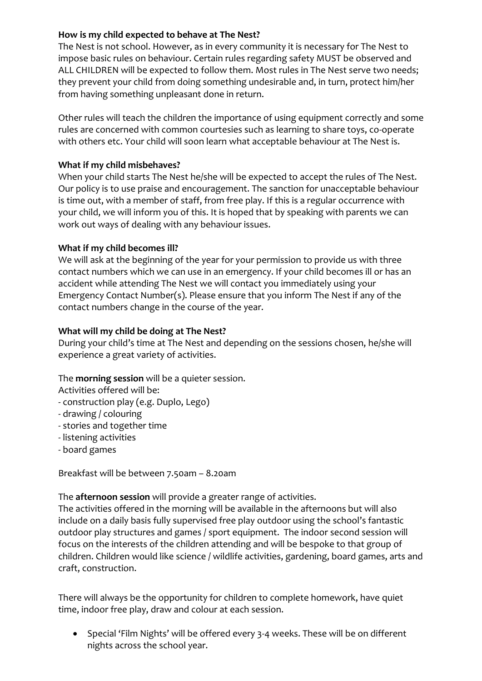# **How is my child expected to behave at The Nest?**

The Nest is not school. However, as in every community it is necessary for The Nest to impose basic rules on behaviour. Certain rules regarding safety MUST be observed and ALL CHILDREN will be expected to follow them. Most rules in The Nest serve two needs; they prevent your child from doing something undesirable and, in turn, protect him/her from having something unpleasant done in return.

Other rules will teach the children the importance of using equipment correctly and some rules are concerned with common courtesies such as learning to share toys, co-operate with others etc. Your child will soon learn what acceptable behaviour at The Nest is.

## **What if my child misbehaves?**

When your child starts The Nest he/she will be expected to accept the rules of The Nest. Our policy is to use praise and encouragement. The sanction for unacceptable behaviour is time out, with a member of staff, from free play. If this is a regular occurrence with your child, we will inform you of this. It is hoped that by speaking with parents we can work out ways of dealing with any behaviour issues.

#### **What if my child becomes ill?**

We will ask at the beginning of the year for your permission to provide us with three contact numbers which we can use in an emergency. If your child becomes ill or has an accident while attending The Nest we will contact you immediately using your Emergency Contact Number(s). Please ensure that you inform The Nest if any of the contact numbers change in the course of the year.

## **What will my child be doing at The Nest?**

During your child's time at The Nest and depending on the sessions chosen, he/she will experience a great variety of activities.

#### The **morning session** will be a quieter session.

Activities offered will be:

- construction play (e.g. Duplo, Lego)
- drawing / colouring
- stories and together time
- listening activities
- board games

Breakfast will be between 7.50am – 8.20am

The **afternoon session** will provide a greater range of activities.

The activities offered in the morning will be available in the afternoons but will also include on a daily basis fully supervised free play outdoor using the school's fantastic outdoor play structures and games / sport equipment. The indoor second session will focus on the interests of the children attending and will be bespoke to that group of children. Children would like science / wildlife activities, gardening, board games, arts and craft, construction.

There will always be the opportunity for children to complete homework, have quiet time, indoor free play, draw and colour at each session.

 Special 'Film Nights' will be offered every 3-4 weeks. These will be on different nights across the school year.